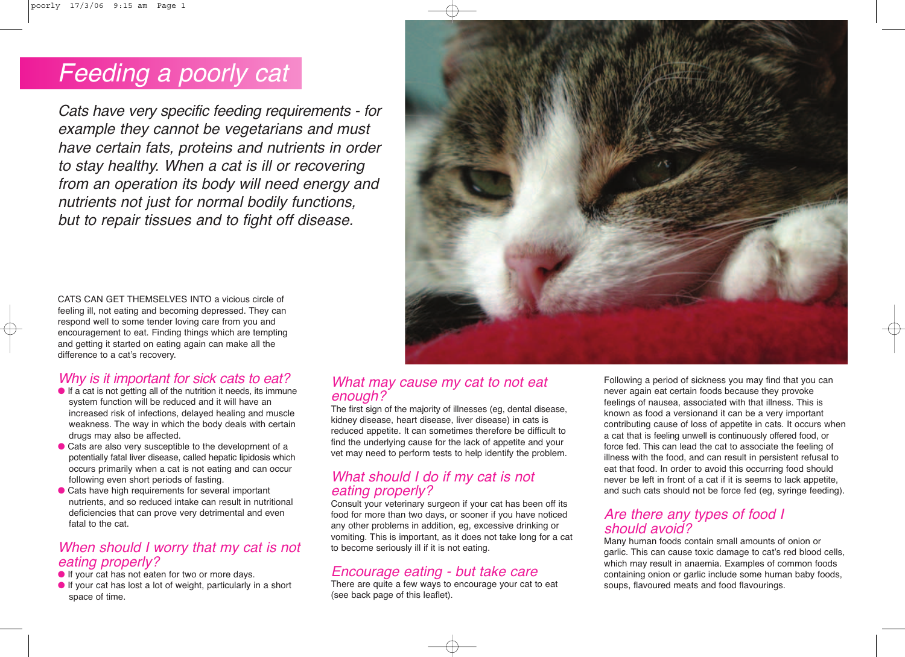# Feeding a poorly cat

Cats have very specific feeding requirements - for example they cannot be vegetarians and must have certain fats, proteins and nutrients in order to stay healthy. When a cat is ill or recovering from an operation its body will need energy and nutrients not just for normal bodily functions, but to repair tissues and to fight off disease.



CATS CAN GET THEMSELVES INTO a vicious circle of feeling ill, not eating and becoming depressed. They can respond well to some tender loving care from you and encouragement to eat. Finding things which are tempting and getting it started on eating again can make all the difference to a cat's recovery.

### Why is it important for sick cats to eat?

- If a cat is not getting all of the nutrition it needs, its immune system function will be reduced and it will have an increased risk of infections, delayed healing and muscle weakness. The way in which the body deals with certain drugs may also be affected.
- Cats are also very susceptible to the development of a potentially fatal liver disease, called hepatic lipidosis which occurs primarily when a cat is not eating and can occur following even short periods of fasting.
- Cats have high requirements for several important nutrients, and so reduced intake can result in nutritional deficiencies that can prove very detrimental and even fatal to the cat.

#### When should I worry that my cat is not eating properly?

- If your cat has not eaten for two or more days.
- If your cat has lost a lot of weight, particularly in a short space of time.

#### What may cause my cat to not eat enough?

The first sign of the majority of illnesses (eg, dental disease, kidney disease, heart disease, liver disease) in cats is reduced appetite. It can sometimes therefore be difficult to find the underlying cause for the lack of appetite and your vet may need to perform tests to help identify the problem.

#### What should I do if my cat is not eating properly?

Consult your veterinary surgeon if your cat has been off its food for more than two days, or sooner if you have noticed any other problems in addition, eg, excessive drinking or vomiting. This is important, as it does not take long for a cat to become seriously ill if it is not eating.

#### Encourage eating - but take care

There are quite a few ways to encourage your cat to eat (see back page of this leaflet).

Following a period of sickness you may find that you can never again eat certain foods because they provoke feelings of nausea, associated with that illness. This is known as food a versionand it can be a very important contributing cause of loss of appetite in cats. It occurs when a cat that is feeling unwell is continuously offered food, or force fed. This can lead the cat to associate the feeling of illness with the food, and can result in persistent refusal to eat that food. In order to avoid this occurring food should never be left in front of a cat if it is seems to lack appetite, and such cats should not be force fed (eg, syringe feeding).

#### Are there any types of food I should avoid?

Many human foods contain small amounts of onion or garlic. This can cause toxic damage to cat's red blood cells, which may result in anaemia. Examples of common foods containing onion or garlic include some human baby foods, soups, flavoured meats and food flavourings.